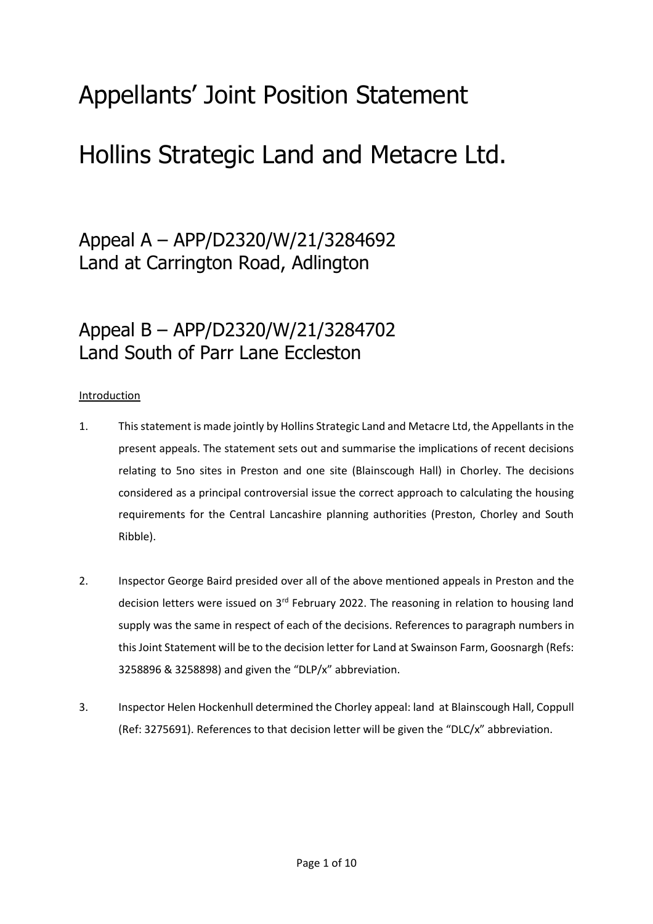# Appellants' Joint Position Statement

# Hollins Strategic Land and Metacre Ltd.

## Appeal A – APP/D2320/W/21/3284692 Land at Carrington Road, Adlington

## Appeal B – APP/D2320/W/21/3284702 Land South of Parr Lane Eccleston

### Introduction

- 1. This statement is made jointly by Hollins Strategic Land and Metacre Ltd, the Appellants in the present appeals. The statement sets out and summarise the implications of recent decisions relating to 5no sites in Preston and one site (Blainscough Hall) in Chorley. The decisions considered as a principal controversial issue the correct approach to calculating the housing requirements for the Central Lancashire planning authorities (Preston, Chorley and South Ribble).
- 2. Inspector George Baird presided over all of the above mentioned appeals in Preston and the decision letters were issued on 3<sup>rd</sup> February 2022. The reasoning in relation to housing land supply was the same in respect of each of the decisions. References to paragraph numbers in this Joint Statement will be to the decision letter for Land at Swainson Farm, Goosnargh (Refs: 3258896 & 3258898) and given the "DLP/x" abbreviation.
- 3. Inspector Helen Hockenhull determined the Chorley appeal: land at Blainscough Hall, Coppull (Ref: 3275691). References to that decision letter will be given the "DLC/x" abbreviation.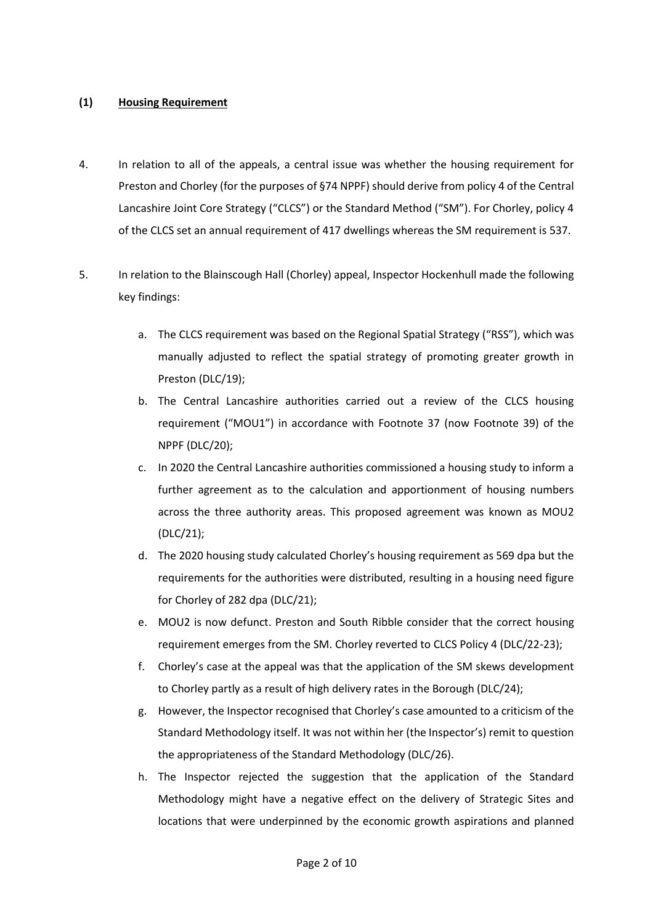#### **(1) Housing Requirement**

- 4. In relation to all of the appeals, a central issue was whether the housing requirement for Preston and Chorley (for the purposes of §74 NPPF) should derive from policy 4 of the Central Lancashire Joint Core Strategy ("CLCS") or the Standard Method ("SM"). For Chorley, policy 4 of the CLCS set an annual requirement of 417 dwellings whereas the SM requirement is 537.
- 5. In relation to the Blainscough Hall (Chorley) appeal, Inspector Hockenhull made the following key findings:
	- a. The CLCS requirement was based on the Regional Spatial Strategy ("RSS"), which was manually adjusted to reflect the spatial strategy of promoting greater growth in Preston (DLC/19);
	- b. The Central Lancashire authorities carried out a review of the CLCS housing requirement ("MOU1") in accordance with Footnote 37 (now Footnote 39) of the NPPF (DLC/20);
	- c. In 2020 the Central Lancashire authorities commissioned a housing study to inform a further agreement as to the calculation and apportionment of housing numbers across the three authority areas. This proposed agreement was known as MOU2 (DLC/21);
	- d. The 2020 housing study calculated Chorley's housing requirement as 569 dpa but the requirements for the authorities were distributed, resulting in a housing need figure for Chorley of 282 dpa (DLC/21);
	- e. MOU2 is now defunct. Preston and South Ribble consider that the correct housing requirement emerges from the SM. Chorley reverted to CLCS Policy 4 (DLC/22-23);
	- f. Chorley's case at the appeal was that the application of the SM skews development to Chorley partly as a result of high delivery rates in the Borough (DLC/24);
	- g. However, the Inspector recognised that Chorley's case amounted to a criticism of the Standard Methodology itself. It was not within her (the Inspector's) remit to question the appropriateness of the Standard Methodology (DLC/26).
	- h. The Inspector rejected the suggestion that the application of the Standard Methodology might have a negative effect on the delivery of Strategic Sites and locations that were underpinned by the economic growth aspirations and planned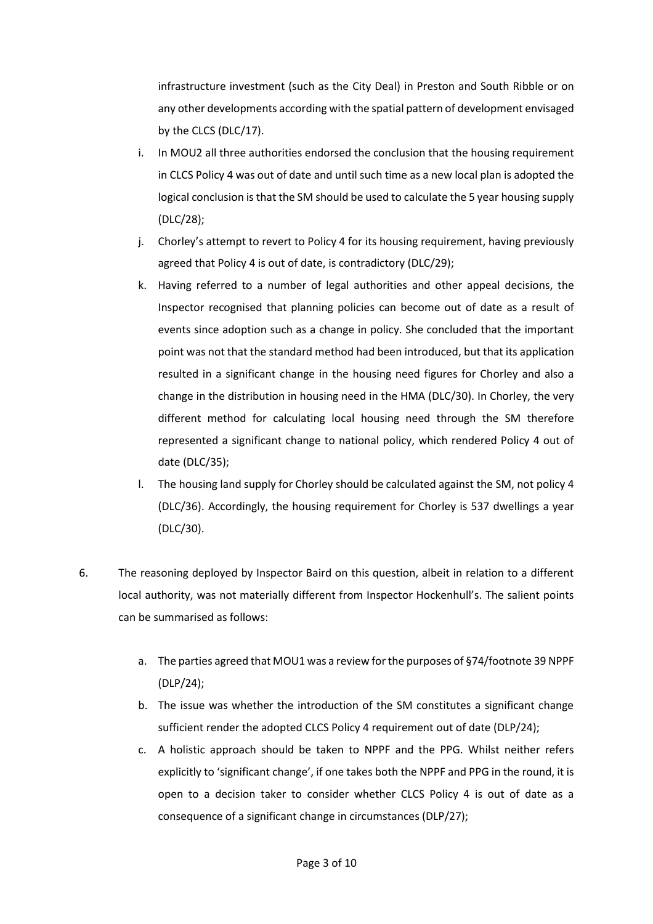infrastructure investment (such as the City Deal) in Preston and South Ribble or on any other developments according with the spatial pattern of development envisaged by the CLCS (DLC/17).

- i. In MOU2 all three authorities endorsed the conclusion that the housing requirement in CLCS Policy 4 was out of date and until such time as a new local plan is adopted the logical conclusion is that the SM should be used to calculate the 5 year housing supply (DLC/28);
- j. Chorley's attempt to revert to Policy 4 for its housing requirement, having previously agreed that Policy 4 is out of date, is contradictory (DLC/29);
- k. Having referred to a number of legal authorities and other appeal decisions, the Inspector recognised that planning policies can become out of date as a result of events since adoption such as a change in policy. She concluded that the important point was not that the standard method had been introduced, but that its application resulted in a significant change in the housing need figures for Chorley and also a change in the distribution in housing need in the HMA (DLC/30). In Chorley, the very different method for calculating local housing need through the SM therefore represented a significant change to national policy, which rendered Policy 4 out of date (DLC/35);
- l. The housing land supply for Chorley should be calculated against the SM, not policy 4 (DLC/36). Accordingly, the housing requirement for Chorley is 537 dwellings a year (DLC/30).
- 6. The reasoning deployed by Inspector Baird on this question, albeit in relation to a different local authority, was not materially different from Inspector Hockenhull's. The salient points can be summarised as follows:
	- a. The parties agreed that MOU1 was a review for the purposes of §74/footnote 39 NPPF (DLP/24);
	- b. The issue was whether the introduction of the SM constitutes a significant change sufficient render the adopted CLCS Policy 4 requirement out of date (DLP/24);
	- c. A holistic approach should be taken to NPPF and the PPG. Whilst neither refers explicitly to 'significant change', if one takes both the NPPF and PPG in the round, it is open to a decision taker to consider whether CLCS Policy 4 is out of date as a consequence of a significant change in circumstances (DLP/27);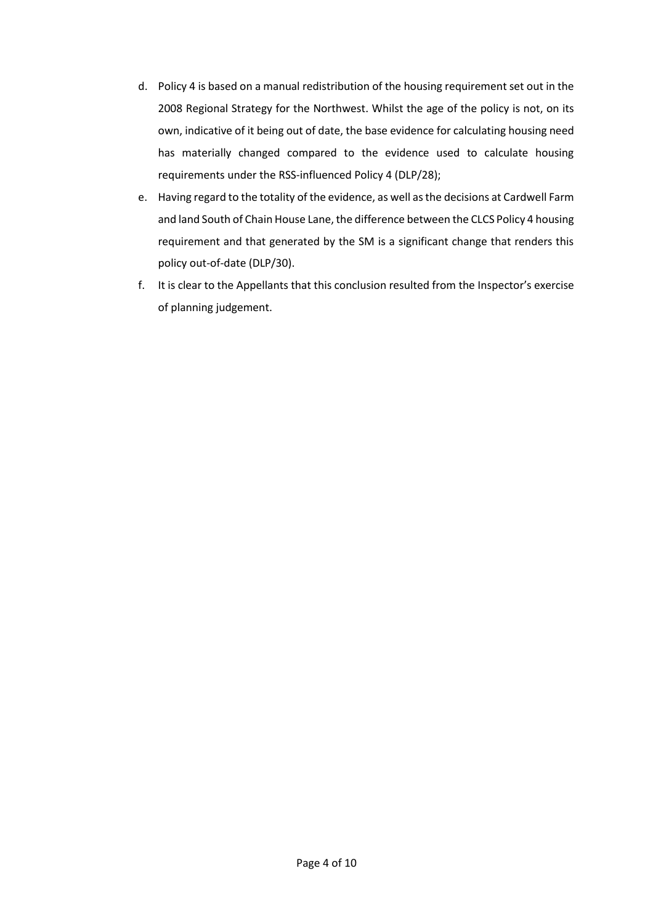- d. Policy 4 is based on a manual redistribution of the housing requirement set out in the 2008 Regional Strategy for the Northwest. Whilst the age of the policy is not, on its own, indicative of it being out of date, the base evidence for calculating housing need has materially changed compared to the evidence used to calculate housing requirements under the RSS-influenced Policy 4 (DLP/28);
- e. Having regard to the totality of the evidence, as well as the decisions at Cardwell Farm and land South of Chain House Lane, the difference between the CLCS Policy 4 housing requirement and that generated by the SM is a significant change that renders this policy out-of-date (DLP/30).
- f. It is clear to the Appellants that this conclusion resulted from the Inspector's exercise of planning judgement.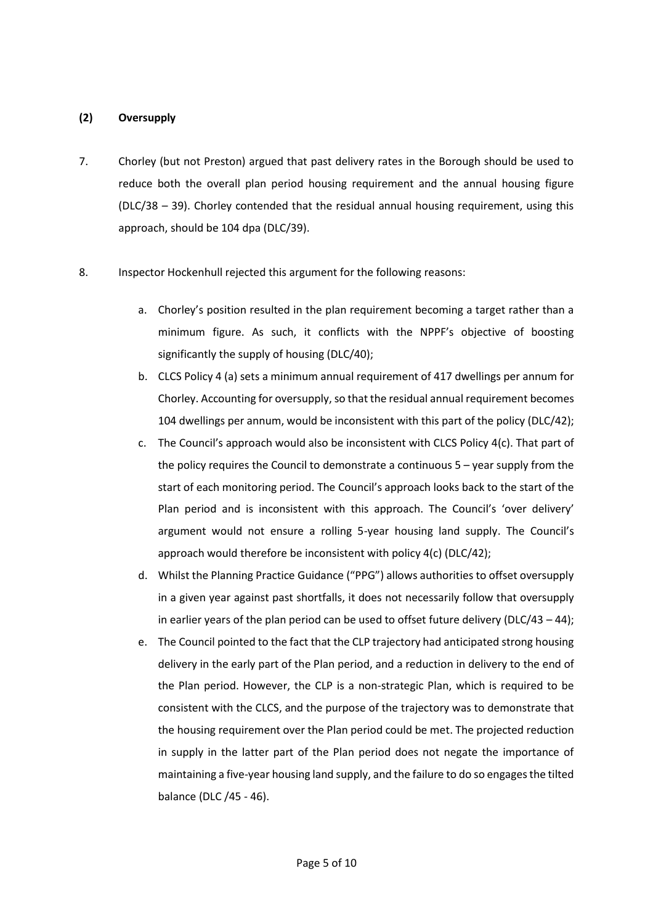#### **(2) Oversupply**

- 7. Chorley (but not Preston) argued that past delivery rates in the Borough should be used to reduce both the overall plan period housing requirement and the annual housing figure (DLC/38 – 39). Chorley contended that the residual annual housing requirement, using this approach, should be 104 dpa (DLC/39).
- 8. Inspector Hockenhull rejected this argument for the following reasons:
	- a. Chorley's position resulted in the plan requirement becoming a target rather than a minimum figure. As such, it conflicts with the NPPF's objective of boosting significantly the supply of housing (DLC/40);
	- b. CLCS Policy 4 (a) sets a minimum annual requirement of 417 dwellings per annum for Chorley. Accounting for oversupply, so that the residual annual requirement becomes 104 dwellings per annum, would be inconsistent with this part of the policy (DLC/42);
	- c. The Council's approach would also be inconsistent with CLCS Policy 4(c). That part of the policy requires the Council to demonstrate a continuous 5 – year supply from the start of each monitoring period. The Council's approach looks back to the start of the Plan period and is inconsistent with this approach. The Council's 'over delivery' argument would not ensure a rolling 5-year housing land supply. The Council's approach would therefore be inconsistent with policy 4(c) (DLC/42);
	- d. Whilst the Planning Practice Guidance ("PPG") allows authorities to offset oversupply in a given year against past shortfalls, it does not necessarily follow that oversupply in earlier years of the plan period can be used to offset future delivery (DLC/43 – 44);
	- e. The Council pointed to the fact that the CLP trajectory had anticipated strong housing delivery in the early part of the Plan period, and a reduction in delivery to the end of the Plan period. However, the CLP is a non-strategic Plan, which is required to be consistent with the CLCS, and the purpose of the trajectory was to demonstrate that the housing requirement over the Plan period could be met. The projected reduction in supply in the latter part of the Plan period does not negate the importance of maintaining a five-year housing land supply, and the failure to do so engages the tilted balance (DLC /45 - 46).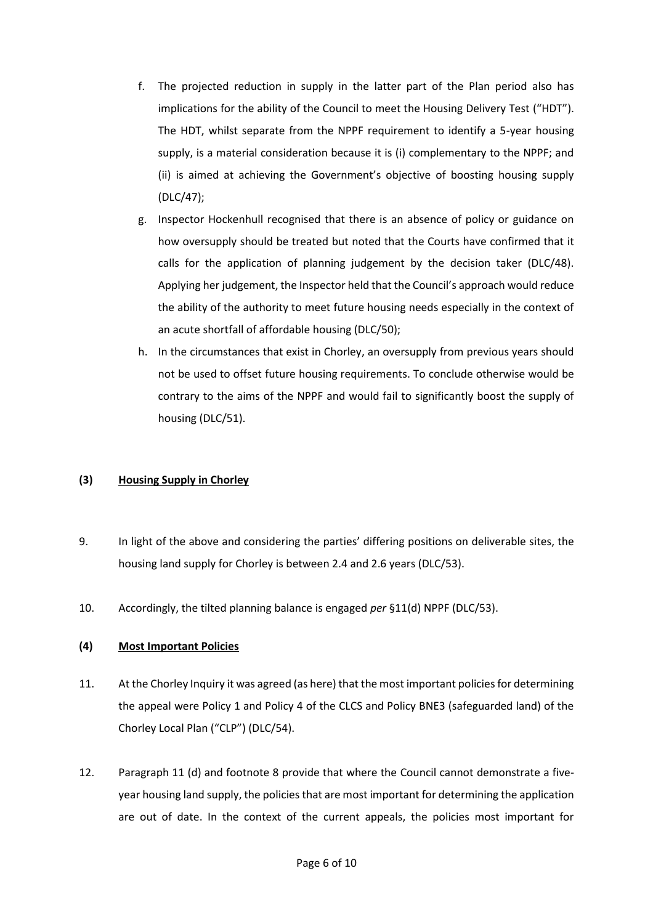- f. The projected reduction in supply in the latter part of the Plan period also has implications for the ability of the Council to meet the Housing Delivery Test ("HDT"). The HDT, whilst separate from the NPPF requirement to identify a 5-year housing supply, is a material consideration because it is (i) complementary to the NPPF; and (ii) is aimed at achieving the Government's objective of boosting housing supply (DLC/47);
- g. Inspector Hockenhull recognised that there is an absence of policy or guidance on how oversupply should be treated but noted that the Courts have confirmed that it calls for the application of planning judgement by the decision taker (DLC/48). Applying her judgement, the Inspector held that the Council's approach would reduce the ability of the authority to meet future housing needs especially in the context of an acute shortfall of affordable housing (DLC/50);
- h. In the circumstances that exist in Chorley, an oversupply from previous years should not be used to offset future housing requirements. To conclude otherwise would be contrary to the aims of the NPPF and would fail to significantly boost the supply of housing (DLC/51).

#### **(3) Housing Supply in Chorley**

- 9. In light of the above and considering the parties' differing positions on deliverable sites, the housing land supply for Chorley is between 2.4 and 2.6 years (DLC/53).
- 10. Accordingly, the tilted planning balance is engaged *per* §11(d) NPPF (DLC/53).

#### **(4) Most Important Policies**

- 11. At the Chorley Inquiry it was agreed (as here) that the most important policies for determining the appeal were Policy 1 and Policy 4 of the CLCS and Policy BNE3 (safeguarded land) of the Chorley Local Plan ("CLP") (DLC/54).
- 12. Paragraph 11 (d) and footnote 8 provide that where the Council cannot demonstrate a fiveyear housing land supply, the policies that are most important for determining the application are out of date. In the context of the current appeals, the policies most important for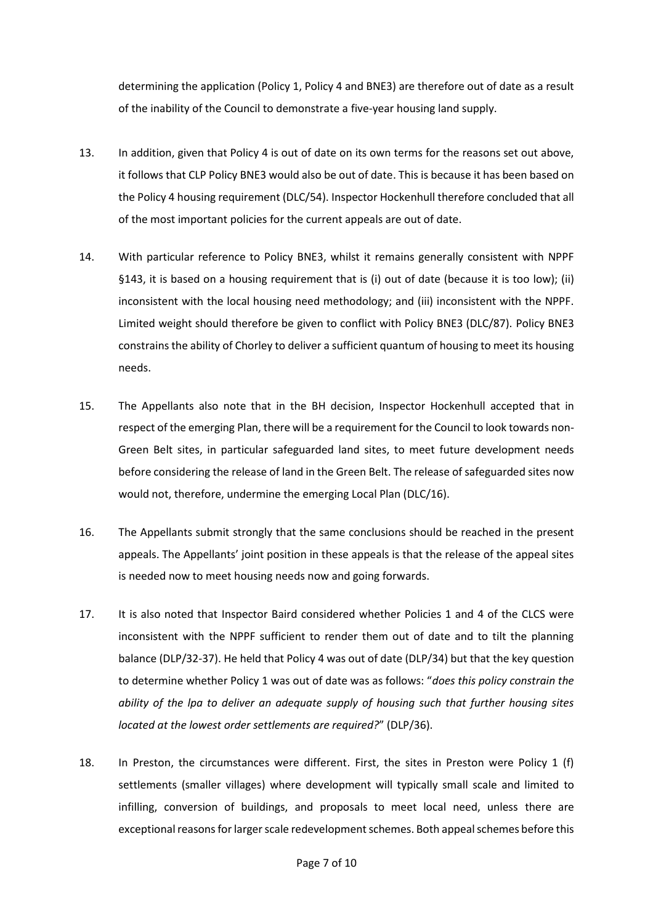determining the application (Policy 1, Policy 4 and BNE3) are therefore out of date as a result of the inability of the Council to demonstrate a five-year housing land supply.

- 13. In addition, given that Policy 4 is out of date on its own terms for the reasons set out above, it follows that CLP Policy BNE3 would also be out of date. This is because it has been based on the Policy 4 housing requirement (DLC/54). Inspector Hockenhull therefore concluded that all of the most important policies for the current appeals are out of date.
- 14. With particular reference to Policy BNE3, whilst it remains generally consistent with NPPF §143, it is based on a housing requirement that is (i) out of date (because it is too low); (ii) inconsistent with the local housing need methodology; and (iii) inconsistent with the NPPF. Limited weight should therefore be given to conflict with Policy BNE3 (DLC/87). Policy BNE3 constrains the ability of Chorley to deliver a sufficient quantum of housing to meet its housing needs.
- 15. The Appellants also note that in the BH decision, Inspector Hockenhull accepted that in respect of the emerging Plan, there will be a requirement for the Council to look towards non-Green Belt sites, in particular safeguarded land sites, to meet future development needs before considering the release of land in the Green Belt. The release of safeguarded sites now would not, therefore, undermine the emerging Local Plan (DLC/16).
- 16. The Appellants submit strongly that the same conclusions should be reached in the present appeals. The Appellants' joint position in these appeals is that the release of the appeal sites is needed now to meet housing needs now and going forwards.
- 17. It is also noted that Inspector Baird considered whether Policies 1 and 4 of the CLCS were inconsistent with the NPPF sufficient to render them out of date and to tilt the planning balance (DLP/32-37). He held that Policy 4 was out of date (DLP/34) but that the key question to determine whether Policy 1 was out of date was as follows: "*does this policy constrain the ability of the lpa to deliver an adequate supply of housing such that further housing sites located at the lowest order settlements are required?*" (DLP/36).
- 18. In Preston, the circumstances were different. First, the sites in Preston were Policy 1 (f) settlements (smaller villages) where development will typically small scale and limited to infilling, conversion of buildings, and proposals to meet local need, unless there are exceptional reasons for larger scale redevelopment schemes. Both appeal schemes before this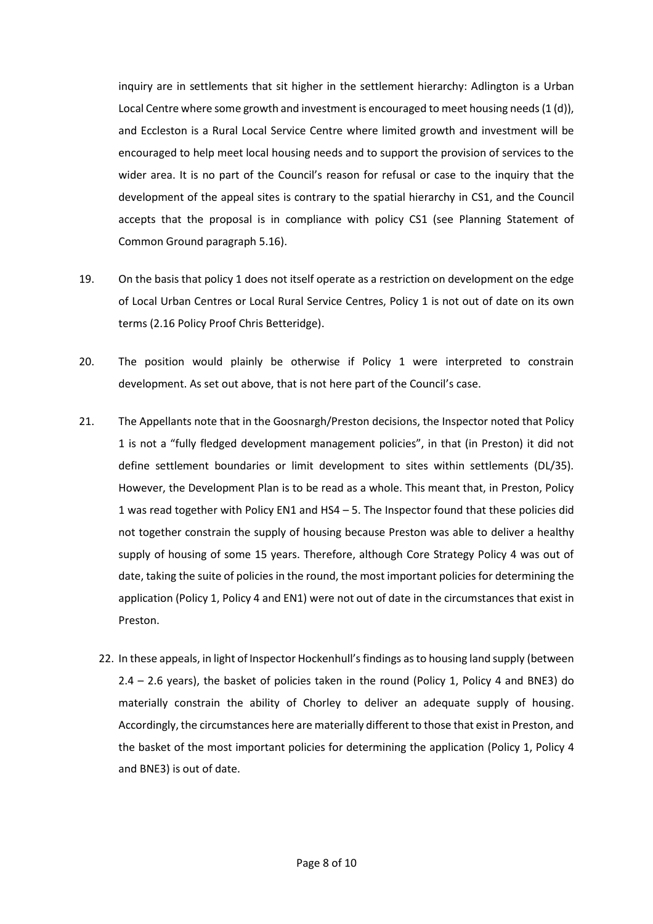inquiry are in settlements that sit higher in the settlement hierarchy: Adlington is a Urban Local Centre where some growth and investment is encouraged to meet housing needs (1 (d)), and Eccleston is a Rural Local Service Centre where limited growth and investment will be encouraged to help meet local housing needs and to support the provision of services to the wider area. It is no part of the Council's reason for refusal or case to the inquiry that the development of the appeal sites is contrary to the spatial hierarchy in CS1, and the Council accepts that the proposal is in compliance with policy CS1 (see Planning Statement of Common Ground paragraph 5.16).

- 19. On the basis that policy 1 does not itself operate as a restriction on development on the edge of Local Urban Centres or Local Rural Service Centres, Policy 1 is not out of date on its own terms (2.16 Policy Proof Chris Betteridge).
- 20. The position would plainly be otherwise if Policy 1 were interpreted to constrain development. As set out above, that is not here part of the Council's case.
- 21. The Appellants note that in the Goosnargh/Preston decisions, the Inspector noted that Policy 1 is not a "fully fledged development management policies", in that (in Preston) it did not define settlement boundaries or limit development to sites within settlements (DL/35). However, the Development Plan is to be read as a whole. This meant that, in Preston, Policy 1 was read together with Policy EN1 and HS4 – 5. The Inspector found that these policies did not together constrain the supply of housing because Preston was able to deliver a healthy supply of housing of some 15 years. Therefore, although Core Strategy Policy 4 was out of date, taking the suite of policies in the round, the most important policies for determining the application (Policy 1, Policy 4 and EN1) were not out of date in the circumstances that exist in Preston.
	- 22. In these appeals, in light of Inspector Hockenhull's findings as to housing land supply (between 2.4 – 2.6 years), the basket of policies taken in the round (Policy 1, Policy 4 and BNE3) do materially constrain the ability of Chorley to deliver an adequate supply of housing. Accordingly, the circumstances here are materially different to those that exist in Preston, and the basket of the most important policies for determining the application (Policy 1, Policy 4 and BNE3) is out of date.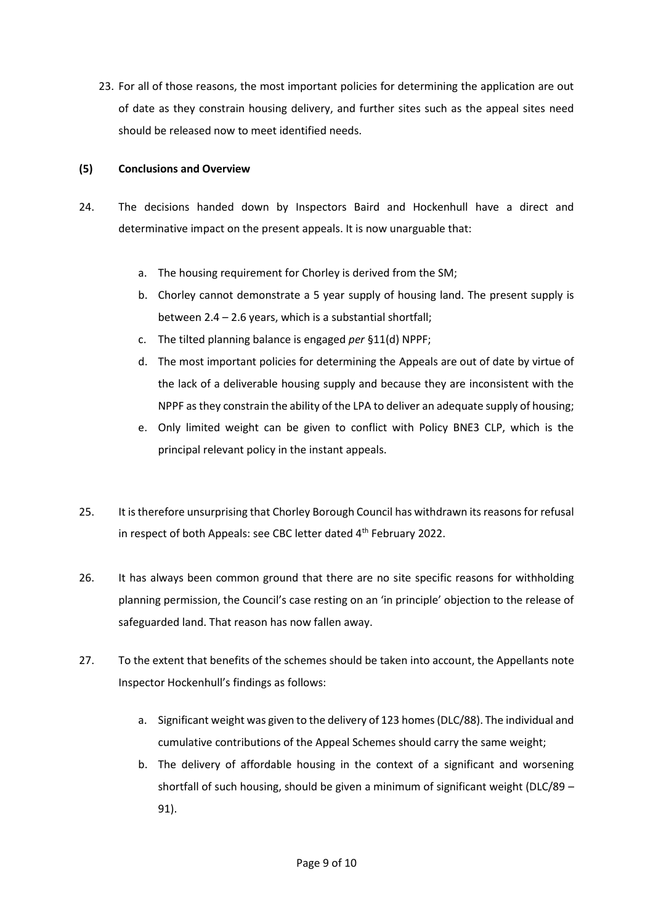23. For all of those reasons, the most important policies for determining the application are out of date as they constrain housing delivery, and further sites such as the appeal sites need should be released now to meet identified needs.

#### **(5) Conclusions and Overview**

- 24. The decisions handed down by Inspectors Baird and Hockenhull have a direct and determinative impact on the present appeals. It is now unarguable that:
	- a. The housing requirement for Chorley is derived from the SM;
	- b. Chorley cannot demonstrate a 5 year supply of housing land. The present supply is between 2.4 – 2.6 years, which is a substantial shortfall;
	- c. The tilted planning balance is engaged *per* §11(d) NPPF;
	- d. The most important policies for determining the Appeals are out of date by virtue of the lack of a deliverable housing supply and because they are inconsistent with the NPPF as they constrain the ability of the LPA to deliver an adequate supply of housing;
	- e. Only limited weight can be given to conflict with Policy BNE3 CLP, which is the principal relevant policy in the instant appeals.
- 25. It is therefore unsurprising that Chorley Borough Council has withdrawn its reasons for refusal in respect of both Appeals: see CBC letter dated 4<sup>th</sup> February 2022.
- 26. It has always been common ground that there are no site specific reasons for withholding planning permission, the Council's case resting on an 'in principle' objection to the release of safeguarded land. That reason has now fallen away.
- 27. To the extent that benefits of the schemes should be taken into account, the Appellants note Inspector Hockenhull's findings as follows:
	- a. Significant weight was given to the delivery of 123 homes (DLC/88). The individual and cumulative contributions of the Appeal Schemes should carry the same weight;
	- b. The delivery of affordable housing in the context of a significant and worsening shortfall of such housing, should be given a minimum of significant weight (DLC/89 – 91).